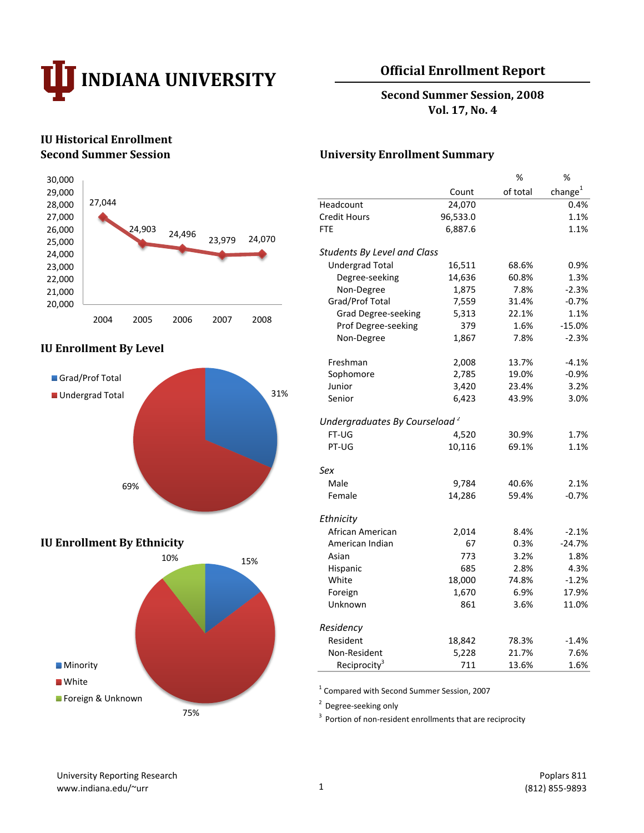

## **Official Enrollment Report**

**Second Summer Session, 2008 Vol. 17, No. 4**

# **IU Historical Enrollment**



## **IU Enrollment By Level**



## **IU Enrollment By Ethnicity**



## **Second Summer Session University Enrollment Summary**

|                                           |          | ℅        | ℅           |
|-------------------------------------------|----------|----------|-------------|
|                                           | Count    | of total | change $^1$ |
| Headcount                                 | 24,070   |          | 0.4%        |
| <b>Credit Hours</b>                       | 96,533.0 |          | 1.1%        |
| <b>FTE</b>                                | 6,887.6  |          | 1.1%        |
| <b>Students By Level and Class</b>        |          |          |             |
| <b>Undergrad Total</b>                    | 16,511   | 68.6%    | 0.9%        |
| Degree-seeking                            | 14,636   | 60.8%    | 1.3%        |
| Non-Degree                                | 1,875    | 7.8%     | $-2.3%$     |
| Grad/Prof Total                           | 7,559    | 31.4%    | $-0.7%$     |
| <b>Grad Degree-seeking</b>                | 5,313    | 22.1%    | 1.1%        |
| Prof Degree-seeking                       | 379      | 1.6%     | $-15.0%$    |
| Non-Degree                                | 1,867    | 7.8%     | $-2.3%$     |
| Freshman                                  | 2,008    | 13.7%    | $-4.1%$     |
| Sophomore                                 | 2,785    | 19.0%    | $-0.9%$     |
| Junior                                    | 3,420    | 23.4%    | 3.2%        |
| Senior                                    | 6,423    | 43.9%    | 3.0%        |
| Undergraduates By Courseload <sup>2</sup> |          |          |             |
| FT-UG                                     | 4,520    | 30.9%    | 1.7%        |
| PT-UG                                     | 10,116   | 69.1%    | 1.1%        |
| Sex                                       |          |          |             |
| Male                                      | 9,784    | 40.6%    | 2.1%        |
| Female                                    | 14,286   | 59.4%    | $-0.7%$     |
| Ethnicity                                 |          |          |             |
| African American                          | 2,014    | 8.4%     | $-2.1%$     |
| American Indian                           | 67       | 0.3%     | $-24.7%$    |
| Asian                                     | 773      | 3.2%     | 1.8%        |
| Hispanic                                  | 685      | 2.8%     | 4.3%        |
| White                                     | 18,000   | 74.8%    | $-1.2%$     |
| Foreign                                   | 1,670    | 6.9%     | 17.9%       |
| Unknown                                   | 861      | 3.6%     | 11.0%       |
| Residency                                 |          |          |             |
| Resident                                  | 18,842   | 78.3%    | $-1.4%$     |
| Non-Resident                              | 5,228    | 21.7%    | 7.6%        |
| Reciprocity <sup>3</sup>                  | 711      | 13.6%    | 1.6%        |

1 Compared with Second Summer Session, 2007

<sup>2</sup> Degree-seeking only

 $3$  Portion of non-resident enrollments that are reciprocity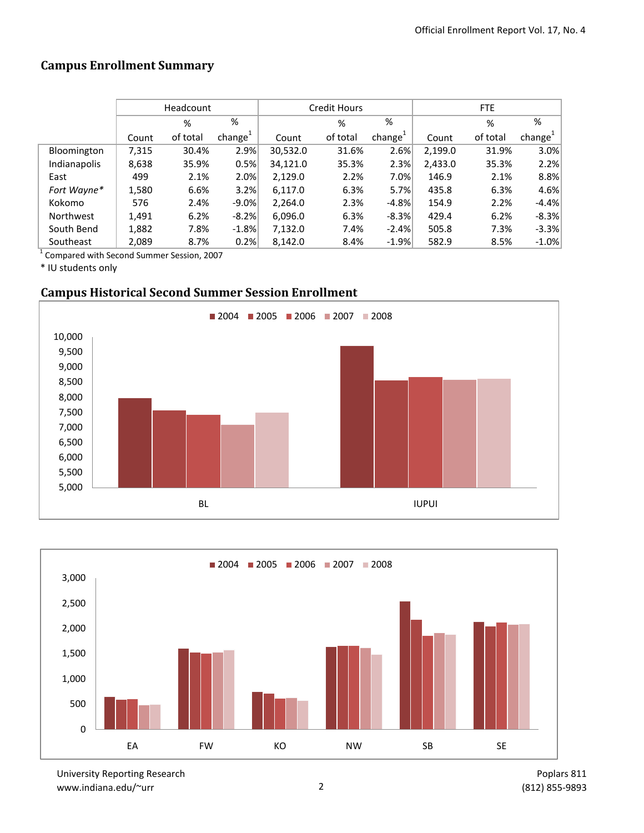# **Campus Enrollment Summary**

|              |       | Headcount |                     |          | Credit Hours |                     | FTE     |          |                     |  |
|--------------|-------|-----------|---------------------|----------|--------------|---------------------|---------|----------|---------------------|--|
|              |       | %         | %                   |          | %            | %                   |         | %        | %                   |  |
|              | Count | of total  | change <sup>+</sup> | Count    | of total     | change <sup>+</sup> | Count   | of total | change <sup>-</sup> |  |
| Bloomington  | 7,315 | 30.4%     | 2.9%                | 30,532.0 | 31.6%        | 2.6%                | 2,199.0 | 31.9%    | 3.0%                |  |
| Indianapolis | 8,638 | 35.9%     | 0.5%                | 34,121.0 | 35.3%        | 2.3%                | 2,433.0 | 35.3%    | 2.2%                |  |
| East         | 499   | 2.1%      | 2.0%                | 2,129.0  | 2.2%         | 7.0%                | 146.9   | 2.1%     | 8.8%                |  |
| Fort Wayne*  | 1,580 | 6.6%      | 3.2%                | 6,117.0  | 6.3%         | 5.7%                | 435.8   | 6.3%     | 4.6%                |  |
| Kokomo       | 576   | 2.4%      | $-9.0\%$            | 2.264.0  | 2.3%         | $-4.8%$             | 154.9   | 2.2%     | $-4.4%$             |  |
| Northwest    | 1,491 | 6.2%      | $-8.2%$             | 6,096.0  | 6.3%         | $-8.3%$             | 429.4   | 6.2%     | $-8.3%$             |  |
| South Bend   | 1,882 | 7.8%      | $-1.8%$             | 7,132.0  | 7.4%         | $-2.4%$             | 505.8   | 7.3%     | $-3.3%$             |  |
| Southeast    | 2,089 | 8.7%      | 0.2%                | 8,142.0  | 8.4%         | $-1.9%$             | 582.9   | 8.5%     | $-1.0%$             |  |

1 Compared with Second Summer Session, 2007

\* IU students only

## **Campus Historical Second Summer Session Enrollment**





University Reporting Research www.indiana.edu/~urr 2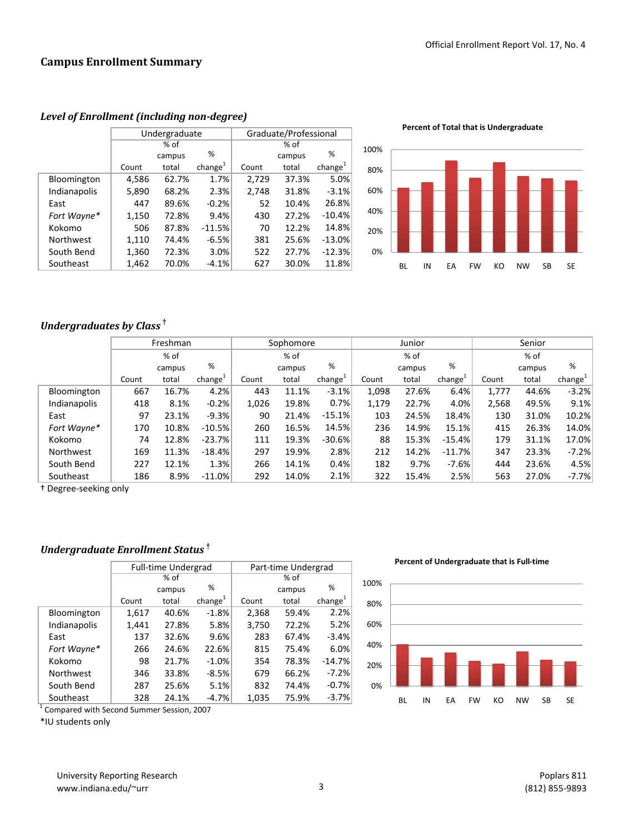|              |       | Undergraduate |                     | Graduate/Professional |        |                     |  |  |
|--------------|-------|---------------|---------------------|-----------------------|--------|---------------------|--|--|
|              |       | % of          |                     |                       |        |                     |  |  |
|              |       | campus        | %                   |                       | campus | %                   |  |  |
|              | Count | total         | change <sup>1</sup> | Count                 | total  | change <sup>1</sup> |  |  |
| Bloomington  | 4,586 | 62.7%         | 1.7%                | 2,729                 | 37.3%  | 5.0%                |  |  |
| Indianapolis | 5,890 | 68.2%         | 2.3%                | 2,748                 | 31.8%  | $-3.1%$             |  |  |
| East         | 447   | 89.6%         | $-0.2%$             | 52                    | 10.4%  | 26.8%               |  |  |
| Fort Wayne*  | 1,150 | 72.8%         | 9.4%                | 430                   | 27.2%  | $-10.4%$            |  |  |
| Kokomo       | 506   | 87.8%         | $-11.5%$            | 70                    | 12.2%  | 14.8%               |  |  |
| Northwest    | 1,110 | 74.4%         | $-6.5%$             | 381                   | 25.6%  | $-13.0%$            |  |  |
| South Bend   | 1,360 | 72.3%         | 3.0%                | 522                   | 27.7%  | $-12.3%$            |  |  |
| Southeast    | 1,462 | 70.0%         | $-4.1%$             | 627                   | 30.0%  | 11.8%               |  |  |

#### *Level of Enrollment (including non-degree)*

**Percent of Total that is Undergraduate**



## *Undergraduates by Class* **†**

|              | Freshman |        |                     | Sophomore |        |                     | Junior |        |                     | Senior |        |           |
|--------------|----------|--------|---------------------|-----------|--------|---------------------|--------|--------|---------------------|--------|--------|-----------|
|              |          | % of   |                     |           | % of   |                     |        | % of   |                     | % of   |        |           |
|              |          | campus | %                   |           | campus | %                   |        | campus | %                   |        | campus | %         |
|              | Count    | total  | change <sup>+</sup> | Count     | total  | change <sup>+</sup> | Count  | total  | change <sup>+</sup> | Count  | total  | $change+$ |
| Bloomington  | 667      | 16.7%  | 4.2%                | 443       | 11.1%  | $-3.1%$             | 1,098  | 27.6%  | 6.4%                | 1,777  | 44.6%  | $-3.2%$   |
| Indianapolis | 418      | 8.1%   | $-0.2%$             | 1,026     | 19.8%  | 0.7%                | 1,179  | 22.7%  | 4.0%                | 2,568  | 49.5%  | 9.1%      |
| East         | 97       | 23.1%  | $-9.3%$             | 90        | 21.4%  | $-15.1%$            | 103    | 24.5%  | 18.4%               | 130    | 31.0%  | 10.2%     |
| Fort Wayne*  | 170      | 10.8%  | $-10.5%$            | 260       | 16.5%  | 14.5%               | 236    | 14.9%  | 15.1%               | 415    | 26.3%  | 14.0%     |
| Kokomo       | 74       | 12.8%  | $-23.7%$            | 111       | 19.3%  | $-30.6%$            | 88     | 15.3%  | $-15.4%$            | 179    | 31.1%  | 17.0%     |
| Northwest    | 169      | 11.3%  | $-18.4%$            | 297       | 19.9%  | 2.8%                | 212    | 14.2%  | $-11.7%$            | 347    | 23.3%  | $-7.2%$   |
| South Bend   | 227      | 12.1%  | 1.3%                | 266       | 14.1%  | 0.4%                | 182    | 9.7%   | $-7.6%$             | 444    | 23.6%  | 4.5%      |
| Southeast    | 186      | 8.9%   | $-11.0\%$           | 292       | 14.0%  | 2.1%                | 322    | 15.4%  | 2.5%                | 563    | 27.0%  | $-7.7%$   |

† Degree-seeking only

## *Undergraduate Enrollment Status* **†**

|              |       | <b>Full-time Undergrad</b> |                     | Part-time Undergrad |        |                     |  |  |
|--------------|-------|----------------------------|---------------------|---------------------|--------|---------------------|--|--|
|              |       | % of                       |                     | % of                |        |                     |  |  |
|              |       | campus                     | %                   |                     | campus | %                   |  |  |
|              | Count | total                      | change <sup>1</sup> | Count               | total  | change <sup>1</sup> |  |  |
| Bloomington  | 1,617 | 40.6%                      | $-1.8%$             | 2,368               | 59.4%  | 2.2%                |  |  |
| Indianapolis | 1,441 | 27.8%                      | 5.8%                | 3,750               | 72.2%  | 5.2%                |  |  |
| East         | 137   | 32.6%                      | 9.6%                | 283                 | 67.4%  | $-3.4%$             |  |  |
| Fort Wayne*  | 266   | 24.6%                      | 22.6%               | 815                 | 75.4%  | 6.0%                |  |  |
| Kokomo       | 98    | 21.7%                      | $-1.0%$             | 354                 | 78.3%  | $-14.7%$            |  |  |
| Northwest    | 346   | 33.8%                      | $-8.5%$             | 679                 | 66.2%  | $-7.2%$             |  |  |
| South Bend   | 287   | 25.6%                      | 5.1%                | 832                 | 74.4%  | $-0.7%$             |  |  |
| Southeast    | 328   | 24.1%                      | $-4.7%$             | 1,035               | 75.9%  | $-3.7%$             |  |  |

<sup>1</sup> Compared with Second Summer Session, 2007

\*IU students only

**Percent of Undergraduate that is Full-time**